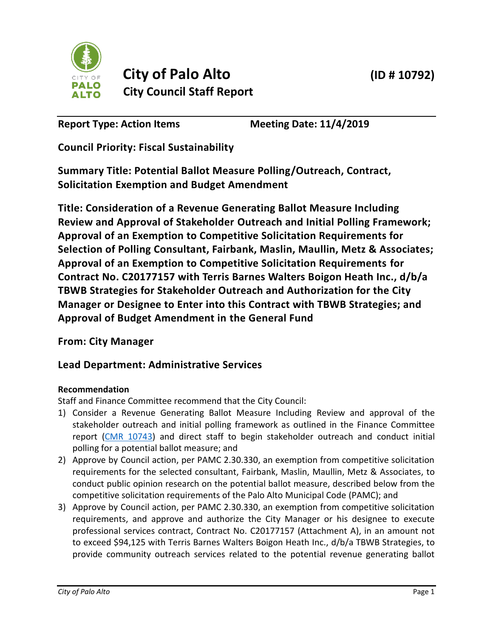



# **City of Palo Alto (ID # 10792) City Council Staff Report**

**Report Type: Action Items Meeting Date: 11/4/2019**

**Council Priority: Fiscal Sustainability**

**Summary Title: Potential Ballot Measure Polling/Outreach, Contract, Solicitation Exemption and Budget Amendment**

**Title: Consideration of a Revenue Generating Ballot Measure Including Review and Approval of Stakeholder Outreach and Initial Polling Framework; Approval of an Exemption to Competitive Solicitation Requirements for Selection of Polling Consultant, Fairbank, Maslin, Maullin, Metz & Associates; Approval of an Exemption to Competitive Solicitation Requirements for Contract No. C20177157 with Terris Barnes Walters Boigon Heath Inc., d/b/a TBWB Strategies for Stakeholder Outreach and Authorization for the City Manager or Designee to Enter into this Contract with TBWB Strategies; and Approval of Budget Amendment in the General Fund**

**From: City Manager**

## **Lead Department: Administrative Services**

## **Recommendation**

Staff and Finance Committee recommend that the City Council:

- 1) Consider a Revenue Generating Ballot Measure Including Review and approval of the stakeholder outreach and initial polling framework as outlined in the Finance Committee report [\(CMR 10743\)](https://www.cityofpaloalto.org/civicax/filebank/documents/73637) and direct staff to begin stakeholder outreach and conduct initial polling for a potential ballot measure; and
- 2) Approve by Council action, per PAMC 2.30.330, an exemption from competitive solicitation requirements for the selected consultant, Fairbank, Maslin, Maullin, Metz & Associates, to conduct public opinion research on the potential ballot measure, described below from the competitive solicitation requirements of the Palo Alto Municipal Code (PAMC); and
- 3) Approve by Council action, per PAMC 2.30.330, an exemption from competitive solicitation requirements, and approve and authorize the City Manager or his designee to execute professional services contract, Contract No. C20177157 (Attachment A), in an amount not to exceed \$94,125 with Terris Barnes Walters Boigon Heath Inc., d/b/a TBWB Strategies, to provide community outreach services related to the potential revenue generating ballot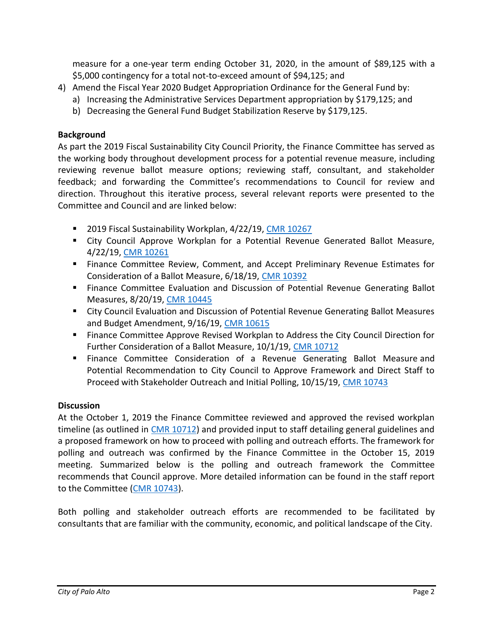measure for a one-year term ending October 31, 2020, in the amount of \$89,125 with a \$5,000 contingency for a total not-to-exceed amount of \$94,125; and

- 4) Amend the Fiscal Year 2020 Budget Appropriation Ordinance for the General Fund by:
	- a) Increasing the Administrative Services Department appropriation by \$179,125; and
	- b) Decreasing the General Fund Budget Stabilization Reserve by \$179,125.

#### **Background**

As part the 2019 Fiscal Sustainability City Council Priority, the Finance Committee has served as the working body throughout development process for a potential revenue measure, including reviewing revenue ballot measure options; reviewing staff, consultant, and stakeholder feedback; and forwarding the Committee's recommendations to Council for review and direction. Throughout this iterative process, several relevant reports were presented to the Committee and Council and are linked below:

- 2019 Fiscal Sustainability Workplan, 4/22/19, [CMR 10267](http://www.cityofpaloalto.org/civicax/filebank/documents/70506)
- City Council Approve Workplan for a Potential Revenue Generated Ballot Measure, 4/22/19, [CMR 10261](http://www.cityofpaloalto.org/civicax/filebank/documents/70507)
- Finance Committee Review, Comment, and Accept Preliminary Revenue Estimates for Consideration of a Ballot Measure, 6/18/19, [CMR 10392](http://www.cityofpaloalto.org/civicax/filebank/documents/72101)
- Finance Committee Evaluation and Discussion of Potential Revenue Generating Ballot Measures, 8/20/19, [CMR 10445](http://www.cityofpaloalto.org/civicax/filebank/documents/73071)
- City Council Evaluation and Discussion of Potential Revenue Generating Ballot Measures and Budget Amendment, 9/16/19, [CMR 10615](http://www.cityofpaloalto.org/civicax/filebank/blobdload.aspx?t=59472.38&BlobID=73287)
- Finance Committee Approve Revised Workplan to Address the City Council Direction for Further Consideration of a Ballot Measure, 10/1/19, [CMR 10712](http://www.cityofpaloalto.org/civicax/filebank/documents/73494)
- **EXTE:** Finance Committee Consideration of a Revenue Generating Ballot Measure and Potential Recommendation to City Council to Approve Framework and Direct Staff to Proceed with Stakeholder Outreach and Initial Polling, 10/15/19, [CMR 10743](https://www.cityofpaloalto.org/civicax/filebank/documents/73637)

#### **Discussion**

At the October 1, 2019 the Finance Committee reviewed and approved the revised workplan timeline (as outlined in [CMR 10712\)](https://www.cityofpaloalto.org/civicax/filebank/documents/73494) and provided input to staff detailing general guidelines and a proposed framework on how to proceed with polling and outreach efforts. The framework for polling and outreach was confirmed by the Finance Committee in the October 15, 2019 meeting. Summarized below is the polling and outreach framework the Committee recommends that Council approve. More detailed information can be found in the staff report to the Committee [\(CMR 10743\)](https://www.cityofpaloalto.org/civicax/filebank/documents/73637).

Both polling and stakeholder outreach efforts are recommended to be facilitated by consultants that are familiar with the community, economic, and political landscape of the City.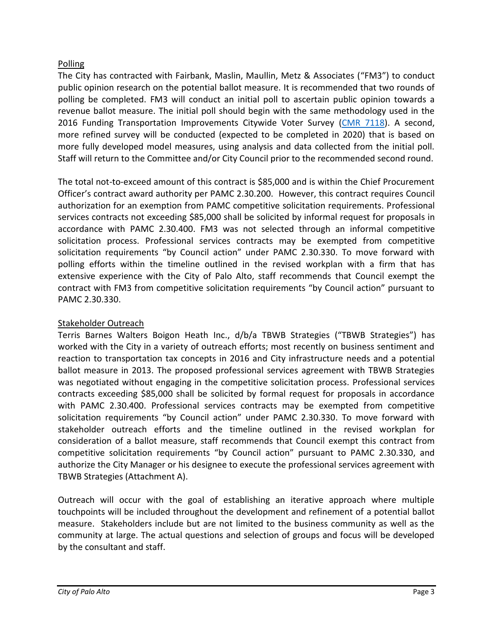## Polling

The City has contracted with Fairbank, Maslin, Maullin, Metz & Associates ("FM3") to conduct public opinion research on the potential ballot measure. It is recommended that two rounds of polling be completed. FM3 will conduct an initial poll to ascertain public opinion towards a revenue ballot measure. The initial poll should begin with the same methodology used in the 2016 Funding Transportation Improvements Citywide Voter Survey [\(CMR 7118\)](https://www.cityofpaloalto.org/civicax/filebank/documents/53000). A second, more refined survey will be conducted (expected to be completed in 2020) that is based on more fully developed model measures, using analysis and data collected from the initial poll. Staff will return to the Committee and/or City Council prior to the recommended second round.

The total not-to-exceed amount of this contract is \$85,000 and is within the Chief Procurement Officer's contract award authority per PAMC 2.30.200. However, this contract requires Council authorization for an exemption from PAMC competitive solicitation requirements. Professional services contracts not exceeding \$85,000 shall be solicited by informal request for proposals in accordance with PAMC 2.30.400. FM3 was not selected through an informal competitive solicitation process. Professional services contracts may be exempted from competitive solicitation requirements "by Council action" under PAMC 2.30.330. To move forward with polling efforts within the timeline outlined in the revised workplan with a firm that has extensive experience with the City of Palo Alto, staff recommends that Council exempt the contract with FM3 from competitive solicitation requirements "by Council action" pursuant to PAMC 2.30.330.

## Stakeholder Outreach

Terris Barnes Walters Boigon Heath Inc., d/b/a TBWB Strategies ("TBWB Strategies") has worked with the City in a variety of outreach efforts; most recently on business sentiment and reaction to transportation tax concepts in 2016 and City infrastructure needs and a potential ballot measure in 2013. The proposed professional services agreement with TBWB Strategies was negotiated without engaging in the competitive solicitation process. Professional services contracts exceeding \$85,000 shall be solicited by formal request for proposals in accordance with PAMC 2.30.400. Professional services contracts may be exempted from competitive solicitation requirements "by Council action" under PAMC 2.30.330. To move forward with stakeholder outreach efforts and the timeline outlined in the revised workplan for consideration of a ballot measure, staff recommends that Council exempt this contract from competitive solicitation requirements "by Council action" pursuant to PAMC 2.30.330, and authorize the City Manager or his designee to execute the professional services agreement with TBWB Strategies (Attachment A).

Outreach will occur with the goal of establishing an iterative approach where multiple touchpoints will be included throughout the development and refinement of a potential ballot measure. Stakeholders include but are not limited to the business community as well as the community at large. The actual questions and selection of groups and focus will be developed by the consultant and staff.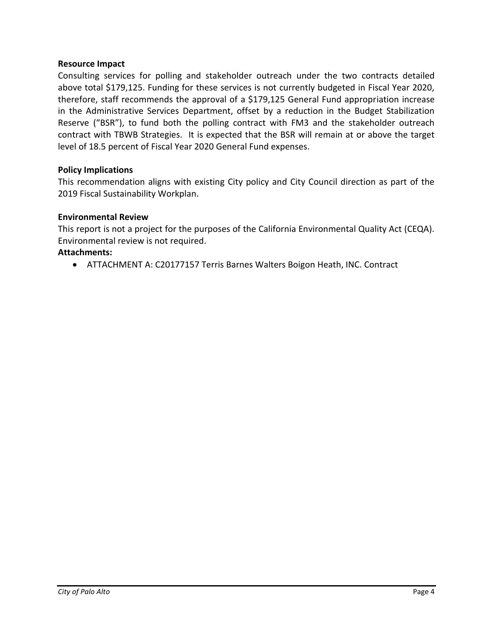#### **Resource Impact**

Consulting services for polling and stakeholder outreach under the two contracts detailed above total \$179,125. Funding for these services is not currently budgeted in Fiscal Year 2020, therefore, staff recommends the approval of a \$179,125 General Fund appropriation increase in the Administrative Services Department, offset by a reduction in the Budget Stabilization Reserve ("BSR"), to fund both the polling contract with FM3 and the stakeholder outreach contract with TBWB Strategies. It is expected that the BSR will remain at or above the target level of 18.5 percent of Fiscal Year 2020 General Fund expenses.

#### **Policy Implications**

This recommendation aligns with existing City policy and City Council direction as part of the 2019 Fiscal Sustainability Workplan.

#### **Environmental Review**

This report is not a project for the purposes of the California Environmental Quality Act (CEQA). Environmental review is not required.

#### **Attachments:**

• ATTACHMENT A: C20177157 Terris Barnes Walters Boigon Heath, INC. Contract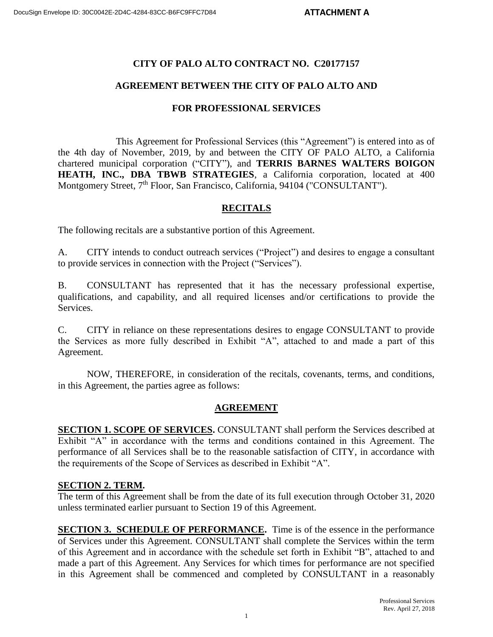#### **CITY OF PALO ALTO CONTRACT NO. C20177157**

#### **AGREEMENT BETWEEN THE CITY OF PALO ALTO AND**

#### **FOR PROFESSIONAL SERVICES**

This Agreement for Professional Services (this "Agreement") is entered into as of the 4th day of November, 2019, by and between the CITY OF PALO ALTO, a California chartered municipal corporation ("CITY"), and **TERRIS BARNES WALTERS BOIGON HEATH, INC., DBA TBWB STRATEGIES**, a California corporation, located at 400 Montgomery Street, 7<sup>th</sup> Floor, San Francisco, California, 94104 ("CONSULTANT").

#### **RECITALS**

The following recitals are a substantive portion of this Agreement.

A. CITY intends to conduct outreach services ("Project") and desires to engage a consultant to provide services in connection with the Project ("Services").

B. CONSULTANT has represented that it has the necessary professional expertise, qualifications, and capability, and all required licenses and/or certifications to provide the Services.

C. CITY in reliance on these representations desires to engage CONSULTANT to provide the Services as more fully described in Exhibit "A", attached to and made a part of this Agreement.

NOW, THEREFORE, in consideration of the recitals, covenants, terms, and conditions, in this Agreement, the parties agree as follows:

#### **AGREEMENT**

**SECTION 1. SCOPE OF SERVICES.** CONSULTANT shall perform the Services described at Exhibit "A" in accordance with the terms and conditions contained in this Agreement. The performance of all Services shall be to the reasonable satisfaction of CITY, in accordance with the requirements of the Scope of Services as described in Exhibit "A".

#### **SECTION 2. TERM.**

The term of this Agreement shall be from the date of its full execution through October 31, 2020 unless terminated earlier pursuant to Section 19 of this Agreement.

**SECTION 3. SCHEDULE OF PERFORMANCE.** Time is of the essence in the performance of Services under this Agreement. CONSULTANT shall complete the Services within the term of this Agreement and in accordance with the schedule set forth in Exhibit "B", attached to and made a part of this Agreement. Any Services for which times for performance are not specified in this Agreement shall be commenced and completed by CONSULTANT in a reasonably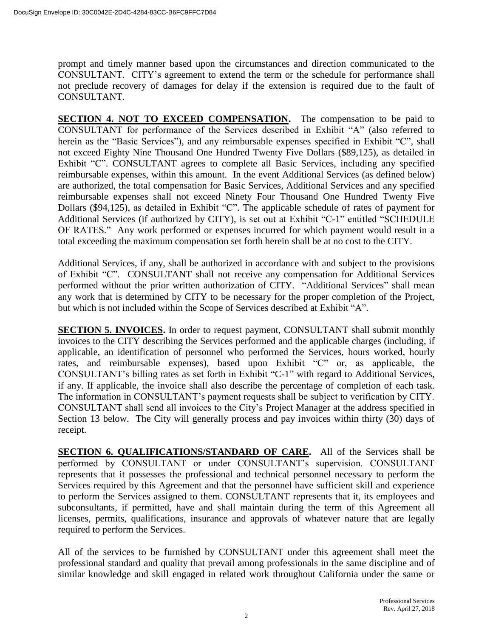prompt and timely manner based upon the circumstances and direction communicated to the CONSULTANT. CITY's agreement to extend the term or the schedule for performance shall not preclude recovery of damages for delay if the extension is required due to the fault of CONSULTANT.

**SECTION 4. NOT TO EXCEED COMPENSATION.** The compensation to be paid to CONSULTANT for performance of the Services described in Exhibit "A" (also referred to herein as the "Basic Services"), and any reimbursable expenses specified in Exhibit "C", shall not exceed Eighty Nine Thousand One Hundred Twenty Five Dollars (\$89,125), as detailed in Exhibit "C". CONSULTANT agrees to complete all Basic Services, including any specified reimbursable expenses, within this amount. In the event Additional Services (as defined below) are authorized, the total compensation for Basic Services, Additional Services and any specified reimbursable expenses shall not exceed Ninety Four Thousand One Hundred Twenty Five Dollars (\$94,125), as detailed in Exhibit "C". The applicable schedule of rates of payment for Additional Services (if authorized by CITY), is set out at Exhibit "C-1" entitled "SCHEDULE OF RATES." Any work performed or expenses incurred for which payment would result in a total exceeding the maximum compensation set forth herein shall be at no cost to the CITY.

Additional Services, if any, shall be authorized in accordance with and subject to the provisions of Exhibit "C". CONSULTANT shall not receive any compensation for Additional Services performed without the prior written authorization of CITY. "Additional Services" shall mean any work that is determined by CITY to be necessary for the proper completion of the Project, but which is not included within the Scope of Services described at Exhibit "A".

**SECTION 5. INVOICES.** In order to request payment, CONSULTANT shall submit monthly invoices to the CITY describing the Services performed and the applicable charges (including, if applicable, an identification of personnel who performed the Services, hours worked, hourly rates, and reimbursable expenses), based upon Exhibit "C" or, as applicable, the CONSULTANT's billing rates as set forth in Exhibit "C-1" with regard to Additional Services, if any. If applicable, the invoice shall also describe the percentage of completion of each task. The information in CONSULTANT's payment requests shall be subject to verification by CITY. CONSULTANT shall send all invoices to the City's Project Manager at the address specified in Section 13 below. The City will generally process and pay invoices within thirty (30) days of receipt.

**SECTION 6. QUALIFICATIONS/STANDARD OF CARE.** All of the Services shall be performed by CONSULTANT or under CONSULTANT's supervision. CONSULTANT represents that it possesses the professional and technical personnel necessary to perform the Services required by this Agreement and that the personnel have sufficient skill and experience to perform the Services assigned to them. CONSULTANT represents that it, its employees and subconsultants, if permitted, have and shall maintain during the term of this Agreement all licenses, permits, qualifications, insurance and approvals of whatever nature that are legally required to perform the Services.

All of the services to be furnished by CONSULTANT under this agreement shall meet the professional standard and quality that prevail among professionals in the same discipline and of similar knowledge and skill engaged in related work throughout California under the same or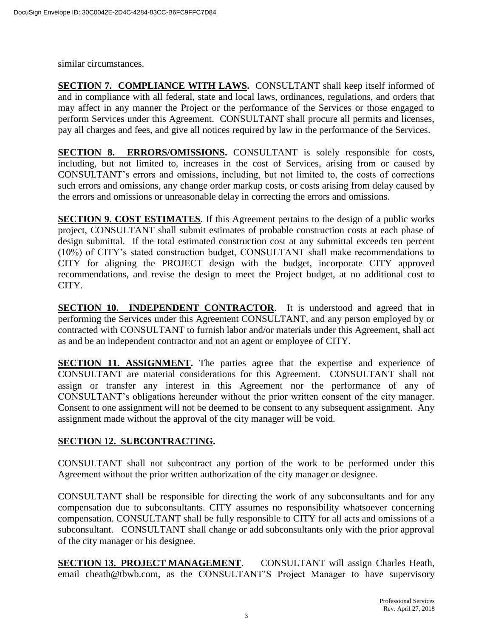similar circumstances.

**SECTION 7. COMPLIANCE WITH LAWS.** CONSULTANT shall keep itself informed of and in compliance with all federal, state and local laws, ordinances, regulations, and orders that may affect in any manner the Project or the performance of the Services or those engaged to perform Services under this Agreement. CONSULTANT shall procure all permits and licenses, pay all charges and fees, and give all notices required by law in the performance of the Services.

**SECTION 8. ERRORS/OMISSIONS.** CONSULTANT is solely responsible for costs, including, but not limited to, increases in the cost of Services, arising from or caused by CONSULTANT's errors and omissions, including, but not limited to, the costs of corrections such errors and omissions, any change order markup costs, or costs arising from delay caused by the errors and omissions or unreasonable delay in correcting the errors and omissions.

**SECTION 9. COST ESTIMATES**. If this Agreement pertains to the design of a public works project, CONSULTANT shall submit estimates of probable construction costs at each phase of design submittal. If the total estimated construction cost at any submittal exceeds ten percent (10%) of CITY's stated construction budget, CONSULTANT shall make recommendations to CITY for aligning the PROJECT design with the budget, incorporate CITY approved recommendations, and revise the design to meet the Project budget, at no additional cost to CITY.

**SECTION 10. INDEPENDENT CONTRACTOR.** It is understood and agreed that in performing the Services under this Agreement CONSULTANT, and any person employed by or contracted with CONSULTANT to furnish labor and/or materials under this Agreement, shall act as and be an independent contractor and not an agent or employee of CITY.

**SECTION 11. ASSIGNMENT.** The parties agree that the expertise and experience of CONSULTANT are material considerations for this Agreement. CONSULTANT shall not assign or transfer any interest in this Agreement nor the performance of any of CONSULTANT's obligations hereunder without the prior written consent of the city manager. Consent to one assignment will not be deemed to be consent to any subsequent assignment. Any assignment made without the approval of the city manager will be void.

#### **SECTION 12. SUBCONTRACTING.**

CONSULTANT shall not subcontract any portion of the work to be performed under this Agreement without the prior written authorization of the city manager or designee.

CONSULTANT shall be responsible for directing the work of any subconsultants and for any compensation due to subconsultants. CITY assumes no responsibility whatsoever concerning compensation. CONSULTANT shall be fully responsible to CITY for all acts and omissions of a subconsultant. CONSULTANT shall change or add subconsultants only with the prior approval of the city manager or his designee.

**SECTION 13. PROJECT MANAGEMENT**. CONSULTANT will assign Charles Heath, email cheath@tbwb.com, as the CONSULTANT'S Project Manager to have supervisory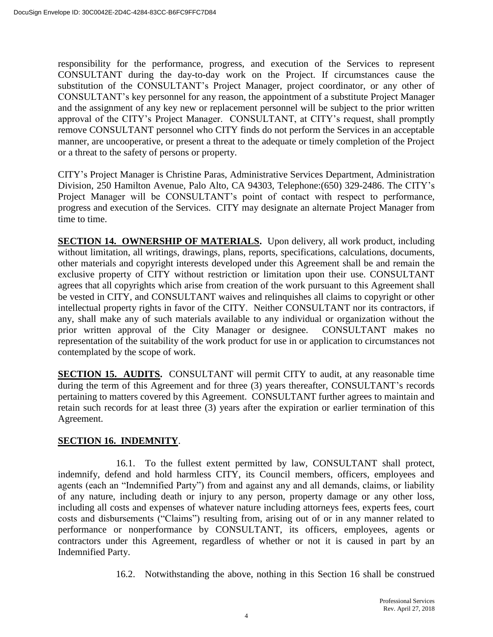responsibility for the performance, progress, and execution of the Services to represent CONSULTANT during the day-to-day work on the Project. If circumstances cause the substitution of the CONSULTANT's Project Manager, project coordinator, or any other of CONSULTANT's key personnel for any reason, the appointment of a substitute Project Manager and the assignment of any key new or replacement personnel will be subject to the prior written approval of the CITY's Project Manager. CONSULTANT, at CITY's request, shall promptly remove CONSULTANT personnel who CITY finds do not perform the Services in an acceptable manner, are uncooperative, or present a threat to the adequate or timely completion of the Project or a threat to the safety of persons or property.

CITY's Project Manager is Christine Paras, Administrative Services Department, Administration Division, 250 Hamilton Avenue, Palo Alto, CA 94303, Telephone:(650) 329-2486. The CITY's Project Manager will be CONSULTANT's point of contact with respect to performance, progress and execution of the Services. CITY may designate an alternate Project Manager from time to time.

**SECTION 14. OWNERSHIP OF MATERIALS.** Upon delivery, all work product, including without limitation, all writings, drawings, plans, reports, specifications, calculations, documents, other materials and copyright interests developed under this Agreement shall be and remain the exclusive property of CITY without restriction or limitation upon their use. CONSULTANT agrees that all copyrights which arise from creation of the work pursuant to this Agreement shall be vested in CITY, and CONSULTANT waives and relinquishes all claims to copyright or other intellectual property rights in favor of the CITY. Neither CONSULTANT nor its contractors, if any, shall make any of such materials available to any individual or organization without the prior written approval of the City Manager or designee. CONSULTANT makes no representation of the suitability of the work product for use in or application to circumstances not contemplated by the scope of work.

**SECTION 15. AUDITS.** CONSULTANT will permit CITY to audit, at any reasonable time during the term of this Agreement and for three (3) years thereafter, CONSULTANT's records pertaining to matters covered by this Agreement. CONSULTANT further agrees to maintain and retain such records for at least three (3) years after the expiration or earlier termination of this Agreement.

## **SECTION 16. INDEMNITY**.

16.1. To the fullest extent permitted by law, CONSULTANT shall protect, indemnify, defend and hold harmless CITY, its Council members, officers, employees and agents (each an "Indemnified Party") from and against any and all demands, claims, or liability of any nature, including death or injury to any person, property damage or any other loss, including all costs and expenses of whatever nature including attorneys fees, experts fees, court costs and disbursements ("Claims") resulting from, arising out of or in any manner related to performance or nonperformance by CONSULTANT, its officers, employees, agents or contractors under this Agreement, regardless of whether or not it is caused in part by an Indemnified Party.

16.2. Notwithstanding the above, nothing in this Section 16 shall be construed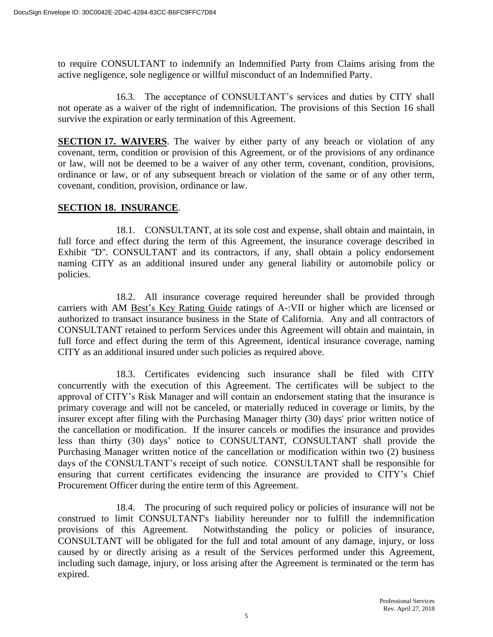to require CONSULTANT to indemnify an Indemnified Party from Claims arising from the active negligence, sole negligence or willful misconduct of an Indemnified Party.

16.3. The acceptance of CONSULTANT's services and duties by CITY shall not operate as a waiver of the right of indemnification. The provisions of this Section 16 shall survive the expiration or early termination of this Agreement.

**SECTION 17. WAIVERS**. The waiver by either party of any breach or violation of any covenant, term, condition or provision of this Agreement, or of the provisions of any ordinance or law, will not be deemed to be a waiver of any other term, covenant, condition, provisions, ordinance or law, or of any subsequent breach or violation of the same or of any other term, covenant, condition, provision, ordinance or law.

#### **SECTION 18. INSURANCE**.

18.1. CONSULTANT, at its sole cost and expense, shall obtain and maintain, in full force and effect during the term of this Agreement, the insurance coverage described in Exhibit "D". CONSULTANT and its contractors, if any, shall obtain a policy endorsement naming CITY as an additional insured under any general liability or automobile policy or policies.

18.2. All insurance coverage required hereunder shall be provided through carriers with AM Best's Key Rating Guide ratings of A-:VII or higher which are licensed or authorized to transact insurance business in the State of California. Any and all contractors of CONSULTANT retained to perform Services under this Agreement will obtain and maintain, in full force and effect during the term of this Agreement, identical insurance coverage, naming CITY as an additional insured under such policies as required above.

18.3. Certificates evidencing such insurance shall be filed with CITY concurrently with the execution of this Agreement. The certificates will be subject to the approval of CITY's Risk Manager and will contain an endorsement stating that the insurance is primary coverage and will not be canceled, or materially reduced in coverage or limits, by the insurer except after filing with the Purchasing Manager thirty (30) days' prior written notice of the cancellation or modification. If the insurer cancels or modifies the insurance and provides less than thirty (30) days' notice to CONSULTANT, CONSULTANT shall provide the Purchasing Manager written notice of the cancellation or modification within two (2) business days of the CONSULTANT's receipt of such notice. CONSULTANT shall be responsible for ensuring that current certificates evidencing the insurance are provided to CITY's Chief Procurement Officer during the entire term of this Agreement.

18.4. The procuring of such required policy or policies of insurance will not be construed to limit CONSULTANT's liability hereunder nor to fulfill the indemnification provisions of this Agreement. Notwithstanding the policy or policies of insurance, CONSULTANT will be obligated for the full and total amount of any damage, injury, or loss caused by or directly arising as a result of the Services performed under this Agreement, including such damage, injury, or loss arising after the Agreement is terminated or the term has expired.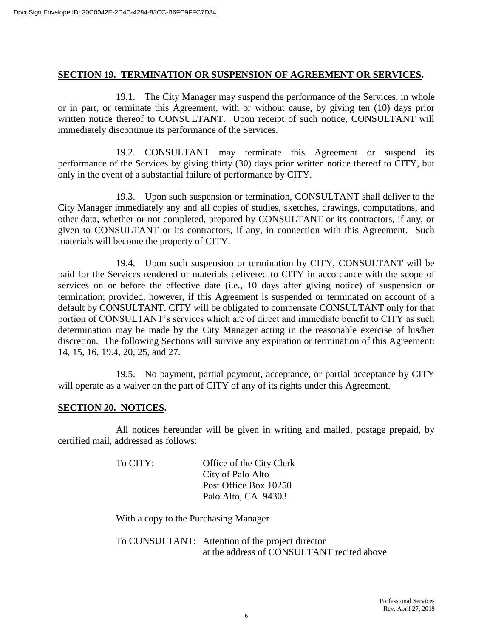#### **SECTION 19. TERMINATION OR SUSPENSION OF AGREEMENT OR SERVICES.**

19.1. The City Manager may suspend the performance of the Services, in whole or in part, or terminate this Agreement, with or without cause, by giving ten (10) days prior written notice thereof to CONSULTANT. Upon receipt of such notice, CONSULTANT will immediately discontinue its performance of the Services.

19.2. CONSULTANT may terminate this Agreement or suspend its performance of the Services by giving thirty (30) days prior written notice thereof to CITY, but only in the event of a substantial failure of performance by CITY.

19.3. Upon such suspension or termination, CONSULTANT shall deliver to the City Manager immediately any and all copies of studies, sketches, drawings, computations, and other data, whether or not completed, prepared by CONSULTANT or its contractors, if any, or given to CONSULTANT or its contractors, if any, in connection with this Agreement. Such materials will become the property of CITY.

19.4. Upon such suspension or termination by CITY, CONSULTANT will be paid for the Services rendered or materials delivered to CITY in accordance with the scope of services on or before the effective date (i.e., 10 days after giving notice) of suspension or termination; provided, however, if this Agreement is suspended or terminated on account of a default by CONSULTANT, CITY will be obligated to compensate CONSULTANT only for that portion of CONSULTANT's services which are of direct and immediate benefit to CITY as such determination may be made by the City Manager acting in the reasonable exercise of his/her discretion. The following Sections will survive any expiration or termination of this Agreement: 14, 15, 16, 19.4, 20, 25, and 27.

19.5. No payment, partial payment, acceptance, or partial acceptance by CITY will operate as a waiver on the part of CITY of any of its rights under this Agreement.

#### **SECTION 20. NOTICES.**

All notices hereunder will be given in writing and mailed, postage prepaid, by certified mail, addressed as follows:

| To CITY: | Office of the City Clerk |
|----------|--------------------------|
|          | City of Palo Alto        |
|          | Post Office Box 10250    |
|          | Palo Alto, CA 94303      |

With a copy to the Purchasing Manager

To CONSULTANT: Attention of the project director at the address of CONSULTANT recited above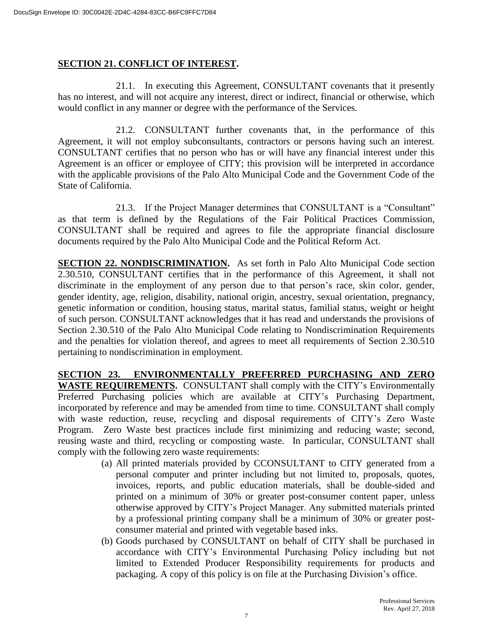#### **SECTION 21. CONFLICT OF INTEREST.**

21.1. In executing this Agreement, CONSULTANT covenants that it presently has no interest, and will not acquire any interest, direct or indirect, financial or otherwise, which would conflict in any manner or degree with the performance of the Services.

21.2. CONSULTANT further covenants that, in the performance of this Agreement, it will not employ subconsultants, contractors or persons having such an interest. CONSULTANT certifies that no person who has or will have any financial interest under this Agreement is an officer or employee of CITY; this provision will be interpreted in accordance with the applicable provisions of the Palo Alto Municipal Code and the Government Code of the State of California.

21.3. If the Project Manager determines that CONSULTANT is a "Consultant" as that term is defined by the Regulations of the Fair Political Practices Commission, CONSULTANT shall be required and agrees to file the appropriate financial disclosure documents required by the Palo Alto Municipal Code and the Political Reform Act.

**SECTION 22. NONDISCRIMINATION.** As set forth in Palo Alto Municipal Code section 2.30.510, CONSULTANT certifies that in the performance of this Agreement, it shall not discriminate in the employment of any person due to that person's race, skin color, gender, gender identity, age, religion, disability, national origin, ancestry, sexual orientation, pregnancy, genetic information or condition, housing status, marital status, familial status, weight or height of such person. CONSULTANT acknowledges that it has read and understands the provisions of Section 2.30.510 of the Palo Alto Municipal Code relating to Nondiscrimination Requirements and the penalties for violation thereof, and agrees to meet all requirements of Section 2.30.510 pertaining to nondiscrimination in employment.

**SECTION 23. ENVIRONMENTALLY PREFERRED PURCHASING AND ZERO WASTE REQUIREMENTS.** CONSULTANT shall comply with the CITY's Environmentally Preferred Purchasing policies which are available at CITY's Purchasing Department, incorporated by reference and may be amended from time to time. CONSULTANT shall comply with waste reduction, reuse, recycling and disposal requirements of CITY's Zero Waste Program. Zero Waste best practices include first minimizing and reducing waste; second, reusing waste and third, recycling or composting waste. In particular, CONSULTANT shall comply with the following zero waste requirements:

- (a) All printed materials provided by CCONSULTANT to CITY generated from a personal computer and printer including but not limited to, proposals, quotes, invoices, reports, and public education materials, shall be double-sided and printed on a minimum of 30% or greater post-consumer content paper, unless otherwise approved by CITY's Project Manager. Any submitted materials printed by a professional printing company shall be a minimum of 30% or greater postconsumer material and printed with vegetable based inks.
- (b) Goods purchased by CONSULTANT on behalf of CITY shall be purchased in accordance with CITY's Environmental Purchasing Policy including but not limited to Extended Producer Responsibility requirements for products and packaging. A copy of this policy is on file at the Purchasing Division's office.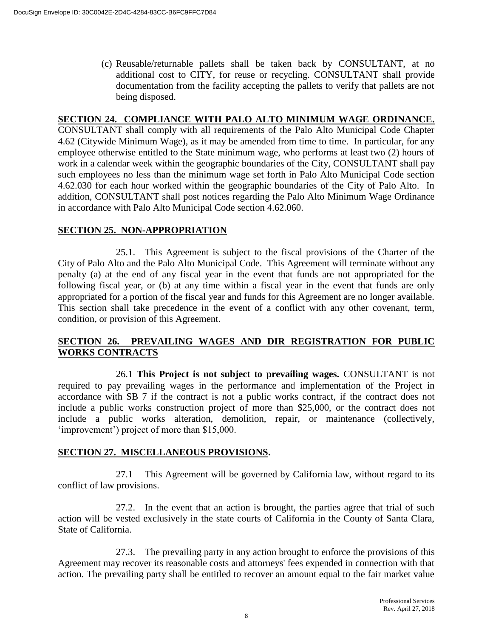(c) Reusable/returnable pallets shall be taken back by CONSULTANT, at no additional cost to CITY, for reuse or recycling. CONSULTANT shall provide documentation from the facility accepting the pallets to verify that pallets are not being disposed.

#### **SECTION 24. COMPLIANCE WITH PALO ALTO MINIMUM WAGE ORDINANCE.**

CONSULTANT shall comply with all requirements of the Palo Alto Municipal Code Chapter 4.62 (Citywide Minimum Wage), as it may be amended from time to time. In particular, for any employee otherwise entitled to the State minimum wage, who performs at least two (2) hours of work in a calendar week within the geographic boundaries of the City, CONSULTANT shall pay such employees no less than the minimum wage set forth in Palo Alto Municipal Code section 4.62.030 for each hour worked within the geographic boundaries of the City of Palo Alto. In addition, CONSULTANT shall post notices regarding the Palo Alto Minimum Wage Ordinance in accordance with Palo Alto Municipal Code section 4.62.060.

#### **SECTION 25. NON-APPROPRIATION**

25.1. This Agreement is subject to the fiscal provisions of the Charter of the City of Palo Alto and the Palo Alto Municipal Code. This Agreement will terminate without any penalty (a) at the end of any fiscal year in the event that funds are not appropriated for the following fiscal year, or (b) at any time within a fiscal year in the event that funds are only appropriated for a portion of the fiscal year and funds for this Agreement are no longer available. This section shall take precedence in the event of a conflict with any other covenant, term, condition, or provision of this Agreement.

#### **SECTION 26. PREVAILING WAGES AND DIR REGISTRATION FOR PUBLIC WORKS CONTRACTS**

26.1 **This Project is not subject to prevailing wages.** CONSULTANT is not required to pay prevailing wages in the performance and implementation of the Project in accordance with SB 7 if the contract is not a public works contract, if the contract does not include a public works construction project of more than \$25,000, or the contract does not include a public works alteration, demolition, repair, or maintenance (collectively, 'improvement') project of more than \$15,000.

#### **SECTION 27. MISCELLANEOUS PROVISIONS.**

27.1 This Agreement will be governed by California law, without regard to its conflict of law provisions.

27.2. In the event that an action is brought, the parties agree that trial of such action will be vested exclusively in the state courts of California in the County of Santa Clara, State of California.

27.3. The prevailing party in any action brought to enforce the provisions of this Agreement may recover its reasonable costs and attorneys' fees expended in connection with that action. The prevailing party shall be entitled to recover an amount equal to the fair market value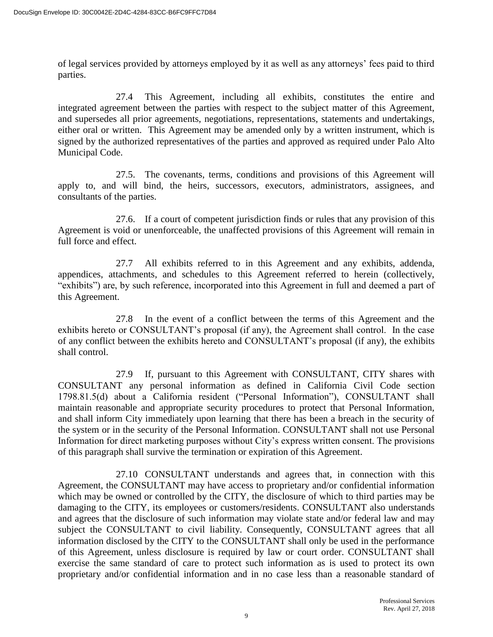of legal services provided by attorneys employed by it as well as any attorneys' fees paid to third parties.

27.4 This Agreement, including all exhibits, constitutes the entire and integrated agreement between the parties with respect to the subject matter of this Agreement, and supersedes all prior agreements, negotiations, representations, statements and undertakings, either oral or written. This Agreement may be amended only by a written instrument, which is signed by the authorized representatives of the parties and approved as required under Palo Alto Municipal Code.

27.5. The covenants, terms, conditions and provisions of this Agreement will apply to, and will bind, the heirs, successors, executors, administrators, assignees, and consultants of the parties.

27.6. If a court of competent jurisdiction finds or rules that any provision of this Agreement is void or unenforceable, the unaffected provisions of this Agreement will remain in full force and effect.

27.7 All exhibits referred to in this Agreement and any exhibits, addenda, appendices, attachments, and schedules to this Agreement referred to herein (collectively, "exhibits") are, by such reference, incorporated into this Agreement in full and deemed a part of this Agreement.

27.8 In the event of a conflict between the terms of this Agreement and the exhibits hereto or CONSULTANT's proposal (if any), the Agreement shall control. In the case of any conflict between the exhibits hereto and CONSULTANT's proposal (if any), the exhibits shall control.

27.9 If, pursuant to this Agreement with CONSULTANT, CITY shares with CONSULTANT any personal information as defined in California Civil Code section 1798.81.5(d) about a California resident ("Personal Information"), CONSULTANT shall maintain reasonable and appropriate security procedures to protect that Personal Information, and shall inform City immediately upon learning that there has been a breach in the security of the system or in the security of the Personal Information. CONSULTANT shall not use Personal Information for direct marketing purposes without City's express written consent. The provisions of this paragraph shall survive the termination or expiration of this Agreement.

27.10 CONSULTANT understands and agrees that, in connection with this Agreement, the CONSULTANT may have access to proprietary and/or confidential information which may be owned or controlled by the CITY, the disclosure of which to third parties may be damaging to the CITY, its employees or customers/residents. CONSULTANT also understands and agrees that the disclosure of such information may violate state and/or federal law and may subject the CONSULTANT to civil liability. Consequently, CONSULTANT agrees that all information disclosed by the CITY to the CONSULTANT shall only be used in the performance of this Agreement, unless disclosure is required by law or court order. CONSULTANT shall exercise the same standard of care to protect such information as is used to protect its own proprietary and/or confidential information and in no case less than a reasonable standard of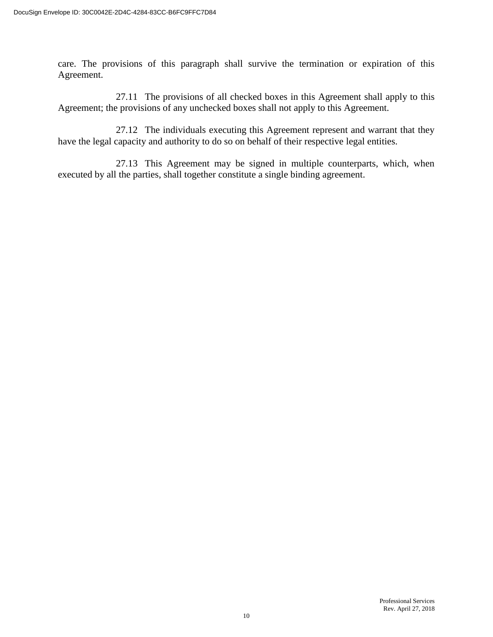care. The provisions of this paragraph shall survive the termination or expiration of this Agreement.

27.11 The provisions of all checked boxes in this Agreement shall apply to this Agreement; the provisions of any unchecked boxes shall not apply to this Agreement.

27.12 The individuals executing this Agreement represent and warrant that they have the legal capacity and authority to do so on behalf of their respective legal entities.

27.13 This Agreement may be signed in multiple counterparts, which, when executed by all the parties, shall together constitute a single binding agreement.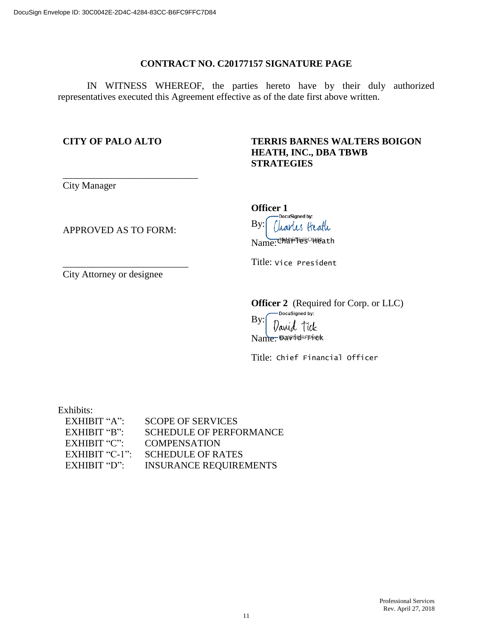#### **CONTRACT NO. C20177157 SIGNATURE PAGE**

IN WITNESS WHEREOF, the parties hereto have by their duly authorized representatives executed this Agreement effective as of the date first above written.

#### **CITY OF PALO ALTO**

#### **TERRIS BARNES WALTERS BOIGON HEATH, INC., DBA TBWB STRATEGIES**

City Manager

APPROVED AS TO FORM:

\_\_\_\_\_\_\_\_\_\_\_\_\_\_\_\_\_\_\_\_\_\_\_\_\_\_

\_\_\_\_\_\_\_\_\_\_\_\_\_\_\_\_\_\_\_\_\_\_\_\_\_\_\_\_

**Officer 1** Docusigned by: By: Liarles Heath Name: <sup>Char</sup> Tes Heath

Title: Vice President

City Attorney or designee

Officer 2 (Required for Corp. or LLC)

By: d Tick law Nam<del>e:</del> Davidsfraek

Title: Chief Financial Officer

Exhibits:

| $EXHIBIT "A"$ : | <b>SCOPE OF SERVICES</b>      |
|-----------------|-------------------------------|
| EXHIBIT "B"     | SCHEDULE OF PERFORMANCE       |
| EXHIBIT " $C$ " | <b>COMPENSATION</b>           |
| EXHIBIT "C-1":  | <b>SCHEDULE OF RATES</b>      |
| $EXHIBIT "D"$ : | <b>INSURANCE REQUIREMENTS</b> |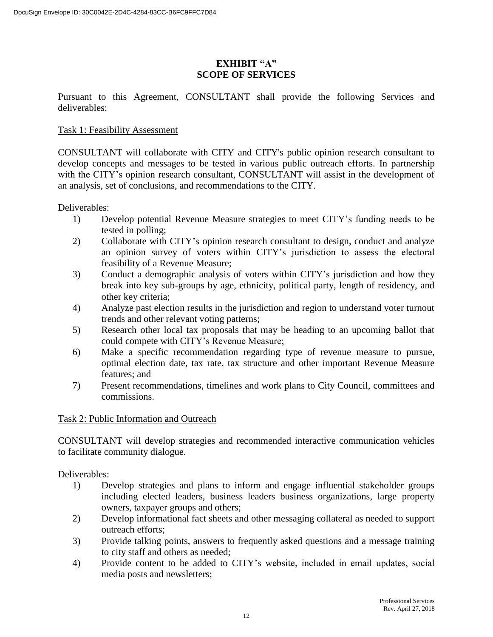#### **EXHIBIT "A" SCOPE OF SERVICES**

Pursuant to this Agreement, CONSULTANT shall provide the following Services and deliverables:

#### Task 1: Feasibility Assessment

CONSULTANT will collaborate with CITY and CITY's public opinion research consultant to develop concepts and messages to be tested in various public outreach efforts. In partnership with the CITY's opinion research consultant, CONSULTANT will assist in the development of an analysis, set of conclusions, and recommendations to the CITY.

Deliverables:

- 1) Develop potential Revenue Measure strategies to meet CITY's funding needs to be tested in polling;
- 2) Collaborate with CITY's opinion research consultant to design, conduct and analyze an opinion survey of voters within CITY's jurisdiction to assess the electoral feasibility of a Revenue Measure;
- 3) Conduct a demographic analysis of voters within CITY's jurisdiction and how they break into key sub-groups by age, ethnicity, political party, length of residency, and other key criteria;
- 4) Analyze past election results in the jurisdiction and region to understand voter turnout trends and other relevant voting patterns;
- 5) Research other local tax proposals that may be heading to an upcoming ballot that could compete with CITY's Revenue Measure;
- 6) Make a specific recommendation regarding type of revenue measure to pursue, optimal election date, tax rate, tax structure and other important Revenue Measure features; and
- 7) Present recommendations, timelines and work plans to City Council, committees and commissions.

#### Task 2: Public Information and Outreach

CONSULTANT will develop strategies and recommended interactive communication vehicles to facilitate community dialogue.

Deliverables:

- 1) Develop strategies and plans to inform and engage influential stakeholder groups including elected leaders, business leaders business organizations, large property owners, taxpayer groups and others;
- 2) Develop informational fact sheets and other messaging collateral as needed to support outreach efforts;
- 3) Provide talking points, answers to frequently asked questions and a message training to city staff and others as needed;
- 4) Provide content to be added to CITY's website, included in email updates, social media posts and newsletters;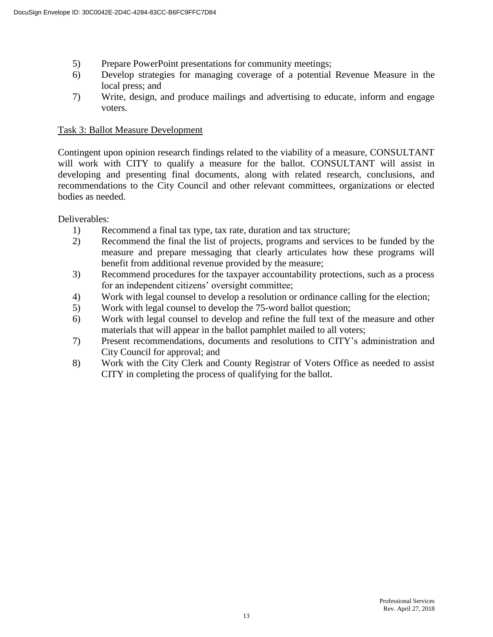- 5) Prepare PowerPoint presentations for community meetings;
- 6) Develop strategies for managing coverage of a potential Revenue Measure in the local press; and
- 7) Write, design, and produce mailings and advertising to educate, inform and engage voters.

#### Task 3: Ballot Measure Development

Contingent upon opinion research findings related to the viability of a measure, CONSULTANT will work with CITY to qualify a measure for the ballot. CONSULTANT will assist in developing and presenting final documents, along with related research, conclusions, and recommendations to the City Council and other relevant committees, organizations or elected bodies as needed.

Deliverables:

- 1) Recommend a final tax type, tax rate, duration and tax structure;
- 2) Recommend the final the list of projects, programs and services to be funded by the measure and prepare messaging that clearly articulates how these programs will benefit from additional revenue provided by the measure;
- 3) Recommend procedures for the taxpayer accountability protections, such as a process for an independent citizens' oversight committee;
- 4) Work with legal counsel to develop a resolution or ordinance calling for the election;
- 5) Work with legal counsel to develop the 75-word ballot question;
- 6) Work with legal counsel to develop and refine the full text of the measure and other materials that will appear in the ballot pamphlet mailed to all voters;
- 7) Present recommendations, documents and resolutions to CITY's administration and City Council for approval; and
- 8) Work with the City Clerk and County Registrar of Voters Office as needed to assist CITY in completing the process of qualifying for the ballot.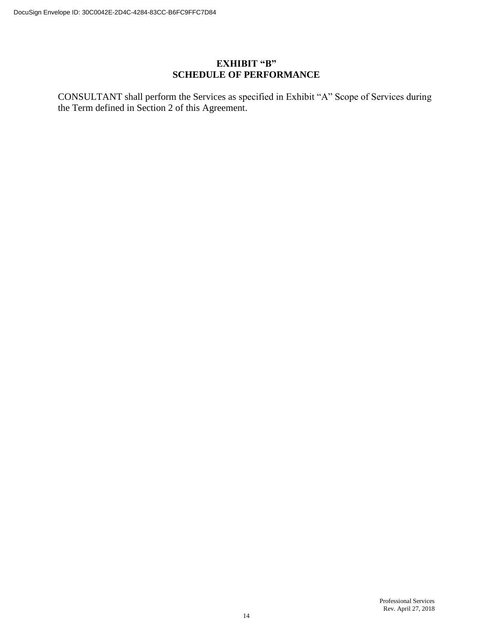#### **EXHIBIT "B" SCHEDULE OF PERFORMANCE**

CONSULTANT shall perform the Services as specified in Exhibit "A" Scope of Services during the Term defined in Section 2 of this Agreement.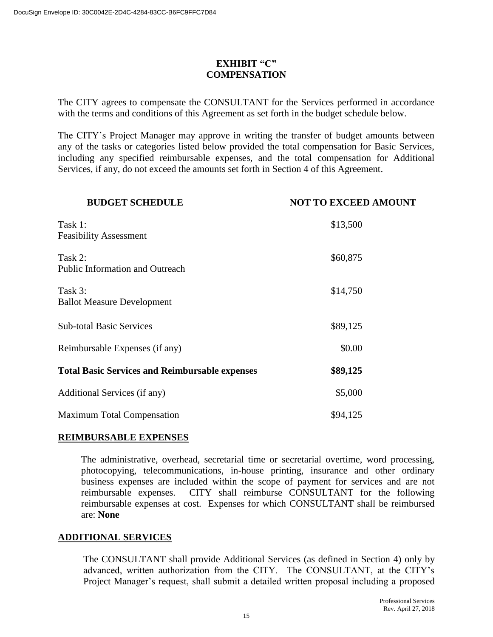#### **EXHIBIT "C" COMPENSATION**

The CITY agrees to compensate the CONSULTANT for the Services performed in accordance with the terms and conditions of this Agreement as set forth in the budget schedule below.

The CITY's Project Manager may approve in writing the transfer of budget amounts between any of the tasks or categories listed below provided the total compensation for Basic Services, including any specified reimbursable expenses, and the total compensation for Additional Services, if any, do not exceed the amounts set forth in Section 4 of this Agreement.

| <b>BUDGET SCHEDULE</b>                                | <b>NOT TO EXCEED AMOUNT</b> |  |
|-------------------------------------------------------|-----------------------------|--|
| Task 1:<br><b>Feasibility Assessment</b>              | \$13,500                    |  |
| Task 2:<br><b>Public Information and Outreach</b>     | \$60,875                    |  |
| Task 3:<br><b>Ballot Measure Development</b>          | \$14,750                    |  |
| <b>Sub-total Basic Services</b>                       | \$89,125                    |  |
| Reimbursable Expenses (if any)                        | \$0.00                      |  |
| <b>Total Basic Services and Reimbursable expenses</b> | \$89,125                    |  |
| Additional Services (if any)                          | \$5,000                     |  |
| <b>Maximum Total Compensation</b>                     | \$94,125                    |  |

#### **REIMBURSABLE EXPENSES**

The administrative, overhead, secretarial time or secretarial overtime, word processing, photocopying, telecommunications, in-house printing, insurance and other ordinary business expenses are included within the scope of payment for services and are not reimbursable expenses. CITY shall reimburse CONSULTANT for the following reimbursable expenses at cost. Expenses for which CONSULTANT shall be reimbursed are: **None**

#### **ADDITIONAL SERVICES**

The CONSULTANT shall provide Additional Services (as defined in Section 4) only by advanced, written authorization from the CITY. The CONSULTANT, at the CITY's Project Manager's request, shall submit a detailed written proposal including a proposed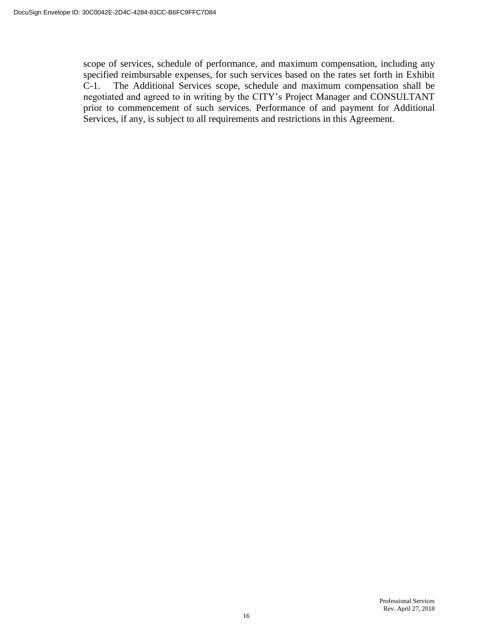scope of services, schedule of performance, and maximum compensation, including any specified reimbursable expenses, for such services based on the rates set forth in Exhibit C-1. The Additional Services scope, schedule and maximum compensation shall be negotiated and agreed to in writing by the CITY's Project Manager and CONSULTANT prior to commencement of such services. Performance of and payment for Additional Services, if any, is subject to all requirements and restrictions in this Agreement.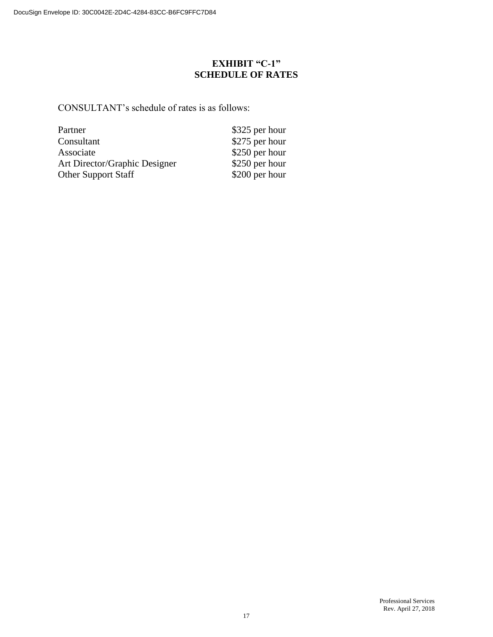## **EXHIBIT "C-1" SCHEDULE OF RATES**

CONSULTANT's schedule of rates is as follows:

| \$325 per hour |
|----------------|
| \$275 per hour |
| \$250 per hour |
| \$250 per hour |
| \$200 per hour |
|                |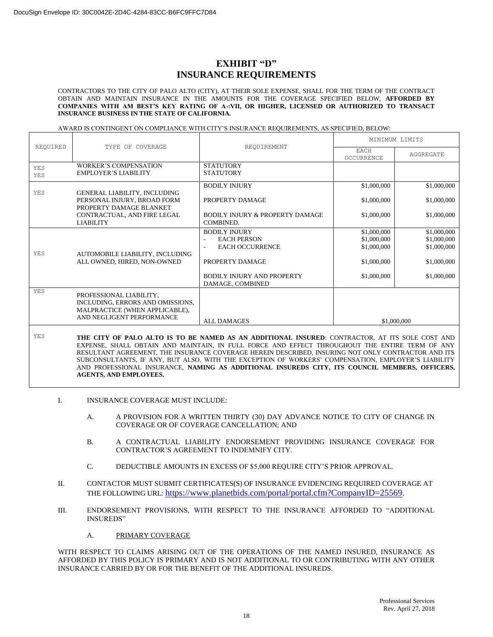#### **EXHIBIT "D" INSURANCE REQUIREMENTS**

CONTRACTORS TO THE CITY OF PALO ALTO (CITY), AT THEIR SOLE EXPENSE, SHALL FOR THE TERM OF THE CONTRACT OBTAIN AND MAINTAIN INSURANCE IN THE AMOUNTS FOR THE COVERAGE SPECIFIED BELOW, **AFFORDED BY COMPANIES WITH AM BEST'S KEY RATING OF A-:VII, OR HIGHER, LICENSED OR AUTHORIZED TO TRANSACT INSURANCE BUSINESS IN THE STATE OF CALIFORNIA.**

#### AWARD IS CONTINGENT ON COMPLIANCE WITH CITY'S INSURANCE REQUIREMENTS, AS SPECIFIED, BELOW:

| REQUIRED<br>TYPE OF COVERAGE |                                                                                                                            | REOUIREMENT                                             | MINIMUM LIMITS            |             |
|------------------------------|----------------------------------------------------------------------------------------------------------------------------|---------------------------------------------------------|---------------------------|-------------|
|                              |                                                                                                                            |                                                         | <b>EACH</b><br>OCCURRENCE | AGGREGATE   |
| <b>YES</b><br><b>YES</b>     | <b>WORKER'S COMPENSATION</b><br><b>EMPLOYER'S LIABILITY</b>                                                                | <b>STATUTORY</b><br><b>STATUTORY</b>                    |                           |             |
|                              |                                                                                                                            |                                                         |                           |             |
| YES                          |                                                                                                                            | <b>BODILY INJURY</b>                                    | \$1,000,000               | \$1,000,000 |
|                              | GENERAL LIABILITY, INCLUDING<br>PERSONAL INJURY, BROAD FORM<br>PROPERTY DAMAGE BLANKET                                     | PROPERTY DAMAGE                                         | \$1,000,000               | \$1,000,000 |
|                              | CONTRACTUAL, AND FIRE LEGAL<br><b>LIABILITY</b>                                                                            | <b>BODILY INJURY &amp; PROPERTY DAMAGE</b><br>COMBINED. | \$1,000,000               | \$1,000,000 |
|                              | <b>BODILY INJURY</b>                                                                                                       | \$1,000,000                                             | \$1,000,000               |             |
|                              |                                                                                                                            | <b>EACH PERSON</b><br>÷,<br><b>EACH OCCURRENCE</b>      | \$1,000,000               | \$1,000,000 |
| YES                          | AUTOMOBILE LIABILITY, INCLUDING                                                                                            | ÷,                                                      | \$1,000,000               | \$1,000,000 |
| ALL OWNED, HIRED, NON-OWNED  | PROPERTY DAMAGE                                                                                                            | \$1,000,000                                             | \$1,000,000               |             |
|                              |                                                                                                                            | <b>BODILY INJURY AND PROPERTY</b><br>DAMAGE, COMBINED   | \$1,000,000               | \$1,000,000 |
| <b>YES</b>                   | PROFESSIONAL LIABILITY,<br>INCLUDING, ERRORS AND OMISSIONS,<br>MALPRACTICE (WHEN APPLICABLE),<br>AND NEGLIGENT PERFORMANCE | ALL DAMAGES                                             |                           |             |
|                              |                                                                                                                            |                                                         | \$1,000,000               |             |

YES **THE CITY OF PALO ALTO IS TO BE NAMED AS AN ADDITIONAL INSURED**: CONTRACTOR, AT ITS SOLE COST AND EXPENSE, SHALL OBTAIN AND MAINTAIN, IN FULL FORCE AND EFFECT THROUGHOUT THE ENTIRE TERM OF ANY RESULTANT AGREEMENT, THE INSURANCE COVERAGE HEREIN DESCRIBED, INSURING NOT ONLY CONTRACTOR AND ITS SUBCONSULTANTS, IF ANY, BUT ALSO, WITH THE EXCEPTION OF WORKERS' COMPENSATION, EMPLOYER'S LIABILITY AND PROFESSIONAL INSURANCE, **NAMING AS ADDITIONAL INSUREDS CITY, ITS COUNCIL MEMBERS, OFFICERS, AGENTS, AND EMPLOYEES.**

- I. INSURANCE COVERAGE MUST INCLUDE:
	- A. A PROVISION FOR A WRITTEN THIRTY (30) DAY ADVANCE NOTICE TO CITY OF CHANGE IN COVERAGE OR OF COVERAGE CANCELLATION; AND
	- B. A CONTRACTUAL LIABILITY ENDORSEMENT PROVIDING INSURANCE COVERAGE FOR CONTRACTOR'S AGREEMENT TO INDEMNIFY CITY.
	- C. DEDUCTIBLE AMOUNTS IN EXCESS OF \$5,000 REQUIRE CITY'S PRIOR APPROVAL.
- II. CONTACTOR MUST SUBMIT CERTIFICATES(S) OF INSURANCE EVIDENCING REQUIRED COVERAGE AT THE FOLLOWING URL: [https://www.planetbids.com/portal/portal.cfm?CompanyID=25569.](https://www.planetbids.com/portal/portal.cfm?CompanyID=25569)
- III. ENDORSEMENT PROVISIONS, WITH RESPECT TO THE INSURANCE AFFORDED TO "ADDITIONAL INSUREDS"
	- A. PRIMARY COVERAGE

WITH RESPECT TO CLAIMS ARISING OUT OF THE OPERATIONS OF THE NAMED INSURED, INSURANCE AS AFFORDED BY THIS POLICY IS PRIMARY AND IS NOT ADDITIONAL TO OR CONTRIBUTING WITH ANY OTHER INSURANCE CARRIED BY OR FOR THE BENEFIT OF THE ADDITIONAL INSUREDS.